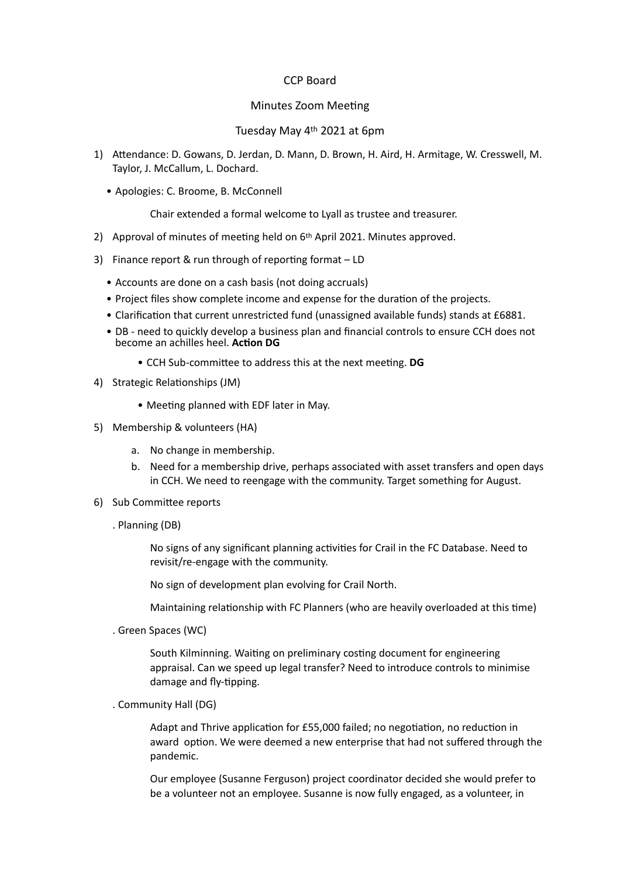## CCP Board

## Minutes Zoom Meeting

Tuesday May 4th 2021 at 6pm

- 1) Attendance: D. Gowans, D. Jerdan, D. Mann, D. Brown, H. Aird, H. Armitage, W. Cresswell, M. Taylor, J. McCallum, L. Dochard.
	- Apologies: C. Broome, B. McConnell

Chair extended a formal welcome to Lyall as trustee and treasurer.

- 2) Approval of minutes of meeting held on 6<sup>th</sup> April 2021. Minutes approved.
- 3) Finance report & run through of reporting format LD
	- Accounts are done on a cash basis (not doing accruals)
	- Project files show complete income and expense for the duration of the projects.
	- Clarification that current unrestricted fund (unassigned available funds) stands at £6881.
	- DB need to quickly develop a business plan and financial controls to ensure CCH does not become an achilles heel. **Action DG**
		- CCH Sub-committee to address this at the next meeting. **DG**
- 4) Strategic Relationships (JM)
	- Meeting planned with EDF later in May.
- 5) Membership & volunteers (HA)
	- a. No change in membership.
	- b. Need for a membership drive, perhaps associated with asset transfers and open days in CCH. We need to reengage with the community. Target something for August.
- 6) Sub Committee reports
	- . Planning (DB)

No signs of any significant planning activities for Crail in the FC Database. Need to revisit/re-engage with the community.

No sign of development plan evolving for Crail North.

Maintaining relationship with FC Planners (who are heavily overloaded at this time)

. Green Spaces (WC)

South Kilminning. Waiting on preliminary costing document for engineering appraisal. Can we speed up legal transfer? Need to introduce controls to minimise damage and fly-tipping.

. Community Hall (DG)

Adapt and Thrive application for £55,000 failed; no negotiation, no reduction in award option. We were deemed a new enterprise that had not suffered through the pandemic.

Our employee (Susanne Ferguson) project coordinator decided she would prefer to be a volunteer not an employee. Susanne is now fully engaged, as a volunteer, in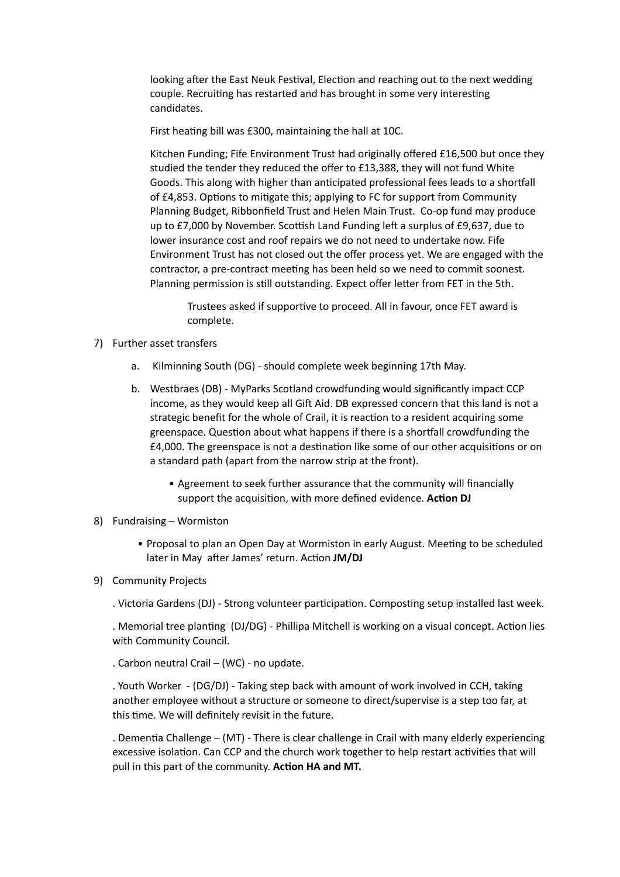looking after the East Neuk Festival, Election and reaching out to the next wedding couple. Recruiting has restarted and has brought in some very interesting candidates.

First heating bill was £300, maintaining the hall at 10C.

Kitchen Funding; Fife Environment Trust had originally offered £16,500 but once they studied the tender they reduced the offer to £13,388, they will not fund White Goods. This along with higher than anticipated professional fees leads to a shortfall of £4,853. Options to mitigate this; applying to FC for support from Community Planning Budget, Ribbonfield Trust and Helen Main Trust. Co-op fund may produce up to £7,000 by November. Scottish Land Funding left a surplus of £9,637, due to lower insurance cost and roof repairs we do not need to undertake now. Fife Environment Trust has not closed out the offer process yet. We are engaged with the contractor, a pre-contract meeting has been held so we need to commit soonest. Planning permission is still outstanding. Expect offer letter from FET in the 5th.

Trustees asked if supportive to proceed. All in favour, once FET award is complete.

- 7) Further asset transfers
	- a. Kilminning South (DG) should complete week beginning 17th May.
	- b. Westbraes (DB) MyParks Scotland crowdfunding would significantly impact CCP income, as they would keep all Gift Aid. DB expressed concern that this land is not a strategic benefit for the whole of Crail, it is reaction to a resident acquiring some greenspace. Question about what happens if there is a shortfall crowdfunding the £4,000. The greenspace is not a destination like some of our other acquisitions or on a standard path (apart from the narrow strip at the front).
		- Agreement to seek further assurance that the community will financially support the acquisition, with more defined evidence. **Action DJ**
- 8) Fundraising Wormiston
	- Proposal to plan an Open Day at Wormiston in early August. Meeting to be scheduled later in May after James' return. Action **JM/DJ**
- 9) Community Projects
	- . Victoria Gardens (DJ) Strong volunteer participation. Composting setup installed last week.

. Memorial tree planting (DJ/DG) - Phillipa Mitchell is working on a visual concept. Action lies with Community Council.

. Carbon neutral Crail – (WC) - no update.

. Youth Worker - (DG/DJ) - Taking step back with amount of work involved in CCH, taking another employee without a structure or someone to direct/supervise is a step too far, at this time. We will definitely revisit in the future.

. Dementia Challenge – (MT) - There is clear challenge in Crail with many elderly experiencing excessive isolation. Can CCP and the church work together to help restart activities that will pull in this part of the community. **Action HA and MT.**